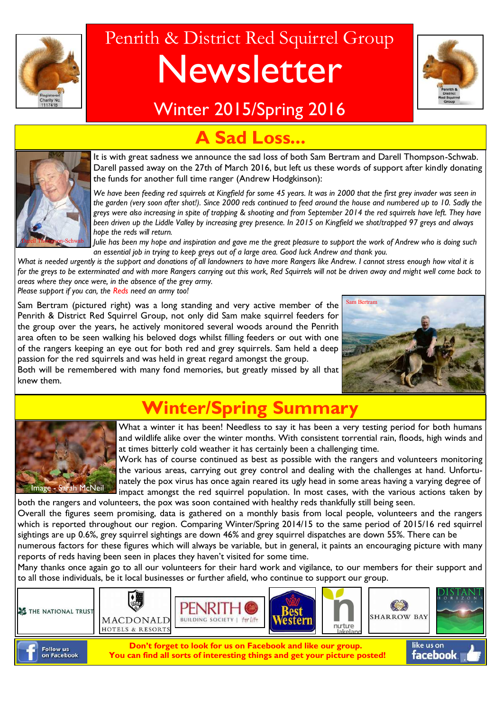

# Penrith & District Red Squirrel Group Newsletter



### Winter 2015/Spring 2016



### Sad Loss...

It is with great sadness we announce the sad loss of both Sam Bertram and Darell Thompson-Schwab. Darell passed away on the 27th of March 2016, but left us these words of support after kindly donating the funds for another full time ranger (Andrew Hodgkinson):

*We have been feeding red squirrels at Kingfield for some 45 years. It was in 2000 that the first grey invader was seen in the garden (very soon after shot!). Since 2000 reds continued to feed around the house and numbered up to 10. Sadly the greys were also increasing in spite of trapping & shooting and from September 2014 the red squirrels have left. They have been driven up the Liddle Valley by increasing grey presence. In 2015 on Kingfield we shot/trapped 97 greys and always hope the reds will return.*

*Julie has been my hope and inspiration and gave me the great pleasure to support the work of Andrew who is doing such an essential job in trying to keep greys out of a large area. Good luck Andrew and thank you.*

What is needed urgently is the support and donations of all landowners to have more Rangers like Andrew. I cannot stress enough how vital it is *for the greys to be exterminated and with more Rangers carrying out this work, Red Squirrels will not be driven away and might well come back to areas where they once were, in the absence of the grey army.* 

*Please support if you can, the Reds need an army too!*

Sam Bertram (pictured right) was a long standing and very active member of the Penrith & District Red Squirrel Group, not only did Sam make squirrel feeders for the group over the years, he actively monitored several woods around the Penrith area often to be seen walking his beloved dogs whilst filling feeders or out with one of the rangers keeping an eye out for both red and grey squirrels. Sam held a deep passion for the red squirrels and was held in great regard amongst the group.

Both will be remembered with many fond memories, but greatly missed by all that knew them.



## **Winter/Spring Summary**



What a winter it has been! Needless to say it has been a very testing period for both humans and wildlife alike over the winter months. With consistent torrential rain, floods, high winds and at times bitterly cold weather it has certainly been a challenging time.

Work has of course continued as best as possible with the rangers and volunteers monitoring the various areas, carrying out grey control and dealing with the challenges at hand. Unfortunately the pox virus has once again reared its ugly head in some areas having a varying degree of impact amongst the red squirrel population. In most cases, with the various actions taken by

both the rangers and volunteers, the pox was soon contained with healthy reds thankfully still being seen. Overall the figures seem promising, data is gathered on a monthly basis from local people, volunteers and the rangers which is reported throughout our region. Comparing Winter/Spring 2014/15 to the same period of 2015/16 red squirrel sightings are up 0.6%, grey squirrel sightings are down 46% and grey squirrel dispatches are down 55%. There can be numerous factors for these figures which will always be variable, but in general, it paints an encouraging picture with many

reports of reds having been seen in places they haven't visited for some time.

Many thanks once again go to all our volunteers for their hard work and vigilance, to our members for their support and to all those individuals, be it local businesses or further afield, who continue to support our group.

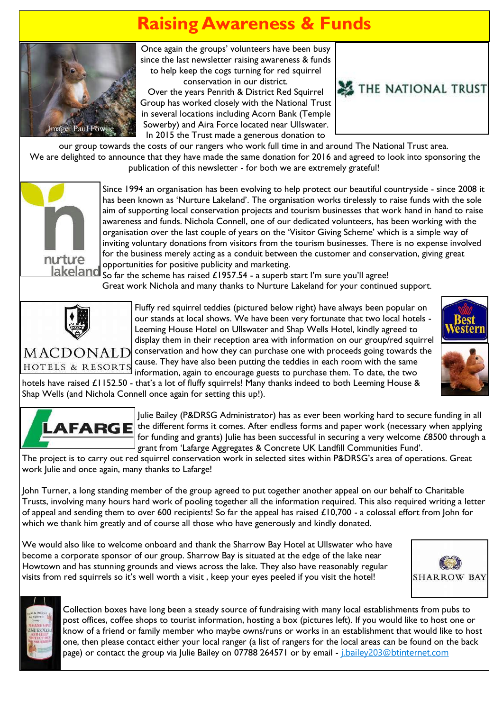## **Raising Awareness & Funds**



Once again the groups' volunteers have been busy since the last newsletter raising awareness & funds to help keep the cogs turning for red squirrel conservation in our district.

Over the years Penrith & District Red Squirrel Group has worked closely with the National Trust in several locations including Acorn Bank (Temple Sowerby) and Aira Force located near Ullswater. In 2015 the Trust made a generous donation to



our group towards the costs of our rangers who work full time in and around The National Trust area. We are delighted to announce that they have made the same donation for 2016 and agreed to look into sponsoring the publication of this newsletter - for both we are extremely grateful!



Since 1994 an organisation has been evolving to help protect our beautiful countryside - since 2008 it has been known as 'Nurture Lakeland'. The organisation works tirelessly to raise funds with the sole aim of supporting local conservation projects and tourism businesses that work hand in hand to raise awareness and funds. Nichola Connell, one of our dedicated volunteers, has been working with the organisation over the last couple of years on the 'Visitor Giving Scheme' which is a simple way of inviting voluntary donations from visitors from the tourism businesses. There is no expense involved for the business merely acting as a conduit between the customer and conservation, giving great opportunities for positive publicity and marketing.

So far the scheme has raised £1957.54 - a superb start I'm sure you'll agree! Great work Nichola and many thanks to Nurture Lakeland for your continued support.



Fluffy red squirrel teddies (pictured below right) have always been popular on our stands at local shows. We have been very fortunate that two local hotels - Leeming House Hotel on Ullswater and Shap Wells Hotel, kindly agreed to display them in their reception area with information on our group/red squirrel  $MACDOMALD$  conservation and how they can purchase one with proceeds going towards the

cause. They have also been putting the teddies in each room with the same HOTELS & RESORTS information, again to encourage guests to purchase them. To date, the two hotels have raised £1152.50 - that's a lot of fluffy squirrels! Many thanks indeed to both Leeming House & Shap Wells (and Nichola Connell once again for setting this up!).







Julie Bailey (P&DRSG Administrator) has as ever been working hard to secure funding in all  $\bf{AFARG}$   $\bf{E}$  the different forms it comes. After endless forms and paper work (necessary when applying for funding and grants) Julie has been successful in securing a very welcome £8500 through a grant from 'Lafarge Aggregates & Concrete UK Landfill Communities Fund'.

The project is to carry out red squirrel conservation work in selected sites within P&DRSG's area of operations. Great work Julie and once again, many thanks to Lafarge!

John Turner, a long standing member of the group agreed to put together another appeal on our behalf to Charitable Trusts, involving many hours hard work of pooling together all the information required. This also required writing a letter of appeal and sending them to over 600 recipients! So far the appeal has raised £10,700 - a colossal effort from John for which we thank him greatly and of course all those who have generously and kindly donated.

We would also like to welcome onboard and thank the Sharrow Bay Hotel at Ullswater who have become a corporate sponsor of our group. Sharrow Bay is situated at the edge of the lake near Howtown and has stunning grounds and views across the lake. They also have reasonably regular visits from red squirrels so it's well worth a visit , keep your eyes peeled if you visit the hotel!





Collection boxes have long been a steady source of fundraising with many local establishments from pubs to post offices, coffee shops to tourist information, hosting a box (pictures left). If you would like to host one or know of a friend or family member who maybe owns/runs or works in an establishment that would like to host one, then please contact either your local ranger (a list of rangers for the local areas can be found on the back page) or contact the group via Julie Bailey on 07788 264571 or by email - *j.bailey203@btinternet.com*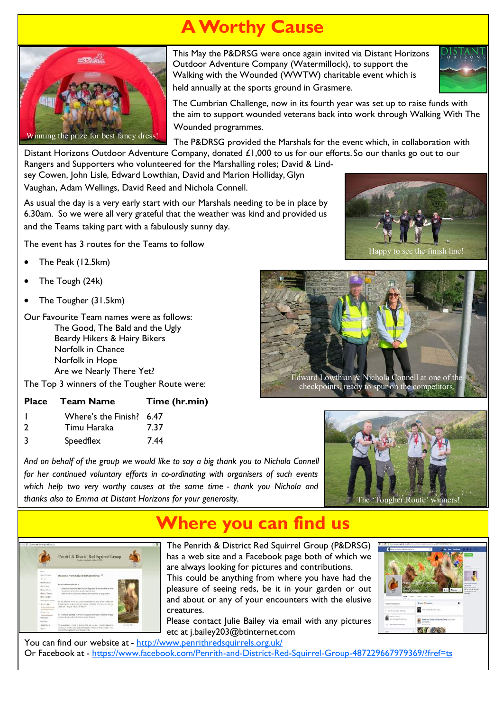## **A Worthy Cause**



This May the P&DRSG were once again invited via Distant Horizons Outdoor Adventure Company (Watermillock), to support the Walking with the Wounded (WWTW) charitable event which is



held annually at the sports ground in Grasmere.

The Cumbrian Challenge, now in its fourth year was set up to raise funds with the aim to support wounded veterans back into work through Walking With The Wounded programmes.

The P&DRSG provided the Marshals for the event which, in collaboration with

Distant Horizons Outdoor Adventure Company, donated £1,000 to us for our efforts. So our thanks go out to our Rangers and Supporters who volunteered for the Marshalling roles; David & Lindsey Cowen, John Lisle, Edward Lowthian, David and Marion Holliday, Glyn

Vaughan, Adam Wellings, David Reed and Nichola Connell.

As usual the day is a very early start with our Marshals needing to be in place by 6.30am. So we were all very grateful that the weather was kind and provided us and the Teams taking part with a fabulously sunny day.

The event has 3 routes for the Teams to follow

- The Peak (12.5km)
- The Tough (24k)
- The Tougher (31.5km)

Our Favourite Team names were as follows: The Good, The Bald and the Ugly Beardy Hikers & Hairy Bikers Norfolk in Chance Norfolk in Hope Are we Nearly There Yet?

The Top 3 winners of the Tougher Route were:

| Place Team Name | Time (hr.min) |
|-----------------|---------------|
|                 |               |

|  | Where's the Finish? 6.47 |  |
|--|--------------------------|--|
|  |                          |  |

- 2 Timu Haraka 7.37
- 3 Speedflex 7.44



*And on behalf of the group we would like to say a big thank you to Nichola Connell for her continued voluntary efforts in co-ordinating with organisers of such events which help two very worthy causes at the same time - thank you Nichola and thanks also to Emma at Distant Horizons for your generosity.*

The 'Tougher Route' winners!

## **Where you can find us**

The Penrith & District Red Squirrel Group (P&DRSG) has a web site and a Facebook page both of which we are always looking for pictures and contributions.

This could be anything from where you have had the pleasure of seeing reds, be it in your garden or out and about or any of your encounters with the elusive creatures.

Please contact Julie Bailey via email with any pictures etc at j.bailey203@btinternet.com





You can find our website at - <http://www.penrithredsquirrels.org.uk/> Or Facebook at - <https://www.facebook.com/Penrith-and-District-Red-Squirrel-Group-487229667979369/?fref=ts>

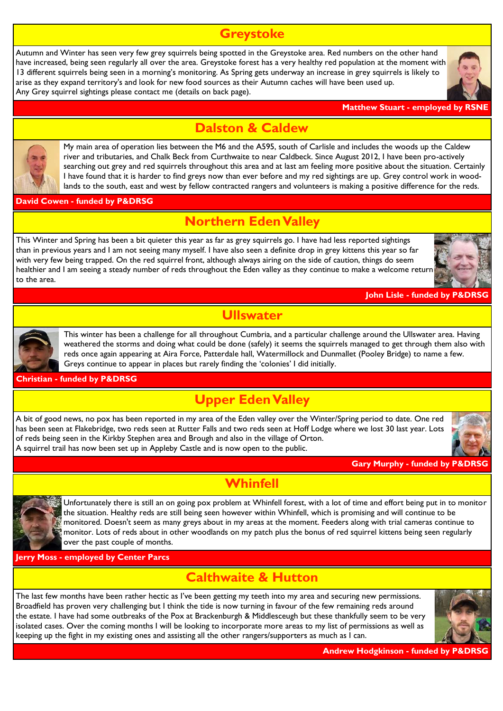#### **Greystoke**

Autumn and Winter has seen very few grey squirrels being spotted in the Greystoke area. Red numbers on the other hand have increased, being seen regularly all over the area. Greystoke forest has a very healthy red population at the moment with 13 different squirrels being seen in a morning's monitoring. As Spring gets underway an increase in grey squirrels is likely to arise as they expand territory's and look for new food sources as their Autumn caches will have been used up. Any Grey squirrel sightings please contact me (details on back page).





My main area of operation lies between the M6 and the A595, south of Carlisle and includes the woods up the Caldew river and tributaries, and Chalk Beck from Curthwaite to near Caldbeck. Since August 2012, I have been pro-actively searching out grey and red squirrels throughout this area and at last am feeling more positive about the situation. Certainly I have found that it is harder to find greys now than ever before and my red sightings are up. Grey control work in woodlands to the south, east and west by fellow contracted rangers and volunteers is making a positive difference for the reds.

#### **David Cowen - funded by P&DRSG**

#### **Northern Eden Valley**

**Dalston & Caldew**

This Winter and Spring has been a bit quieter this year as far as grey squirrels go. I have had less reported sightings than in previous years and I am not seeing many myself. I have also seen a definite drop in grey kittens this year so far with very few being trapped. On the red squirrel front, although always airing on the side of caution, things do seem healthier and I am seeing a steady number of reds throughout the Eden valley as they continue to make a welcome return to the area.



**John Lisle - funded by P&DR** 



**Ullswater**

This winter has been a challenge for all throughout Cumbria, and a particular challenge around the Ullswater area. Having weathered the storms and doing what could be done (safely) it seems the squirrels managed to get through them also with reds once again appearing at Aira Force, Patterdale hall, Watermillock and Dunmallet (Pooley Bridge) to name a few. Greys continue to appear in places but rarely finding the 'colonies' I did initially.

#### **Christian - funded by P&DRSG**

#### **Upper Eden Valley**

A bit of good news, no pox has been reported in my area of the Eden valley over the Winter/Spring period to date. One red has been seen at Flakebridge, two reds seen at Rutter Falls and two reds seen at Hoff Lodge where we lost 30 last year. Lots of reds being seen in the Kirkby Stephen area and Brough and also in the village of Orton. A squirrel trail has now been set up in Appleby Castle and is now open to the public.



#### **Gary Murphy - funded by P&DF**

#### **Whinfell**



Unfortunately there is still an on going pox problem at Whinfell forest, with a lot of time and effort being put in to monitor the situation. Healthy reds are still being seen however within Whinfell, which is promising and will continue to be monitored. Doesn't seem as many greys about in my areas at the moment. Feeders along with trial cameras continue to monitor. Lots of reds about in other woodlands on my patch plus the bonus of red squirrel kittens being seen regularly over the past couple of months.

**Jerry Moss - employed by Center Parcs**

#### **Calthwaite & Hutton**

The last few months have been rather hectic as I've been getting my teeth into my area and securing new permissions. Broadfield has proven very challenging but I think the tide is now turning in favour of the few remaining reds around the estate. I have had some outbreaks of the Pox at Brackenburgh & Middlesceugh but these thankfully seem to be very isolated cases. Over the coming months I will be looking to incorporate more areas to my list of permissions as well as keeping up the fight in my existing ones and assisting all the other rangers/supporters as much as I can.



**Andrew Hodgkinson - funded by P&DRSG**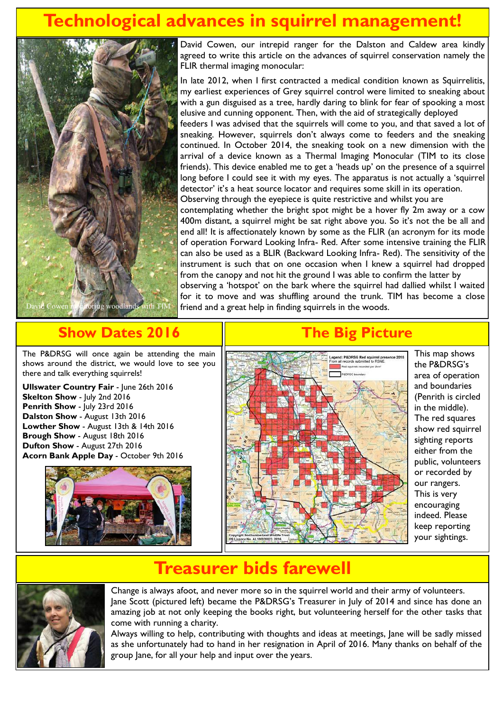### **Technological advances in squirrel management!**



David Cowen, our intrepid ranger for the Dalston and Caldew area kindly agreed to write this article on the advances of squirrel conservation namely the FLIR thermal imaging monocular:

In late 2012, when I first contracted a medical condition known as Squirrelitis, my earliest experiences of Grey squirrel control were limited to sneaking about with a gun disguised as a tree, hardly daring to blink for fear of spooking a most elusive and cunning opponent. Then, with the aid of strategically deployed feeders I was advised that the squirrels will come to you, and that saved a lot of

sneaking. However, squirrels don't always come to feeders and the sneaking continued. In October 2014, the sneaking took on a new dimension with the arrival of a device known as a Thermal Imaging Monocular (TIM to its close friends). This device enabled me to get a 'heads up' on the presence of a squirrel long before I could see it with my eyes. The apparatus is not actually a 'squirrel detector' it's a heat source locator and requires some skill in its operation. Observing through the eyepiece is quite restrictive and whilst you are contemplating whether the bright spot might be a hover fly 2m away or a cow 400m distant, a squirrel might be sat right above you. So it's not the be all and end all! It is affectionately known by some as the FLIR (an acronym for its mode of operation Forward Looking Infra- Red. After some intensive training the FLIR can also be used as a BLIR (Backward Looking Infra- Red). The sensitivity of the instrument is such that on one occasion when I knew a squirrel had dropped from the canopy and not hit the ground I was able to confirm the latter by

observing a 'hotspot' on the bark where the squirrel had dallied whilst I waited for it to move and was shuffling around the trunk. TIM has become a close friend and a great help in finding squirrels in the woods.

#### **Show Dates 2016**

The P&DRSG will once again be attending the main shows around the district, we would love to see you there and talk everything squirrels!

**Ullswater Country Fair** - June 26th 2016 **Skelton Show** - July 2nd 2016 **Penrith Show** - July 23rd 2016 **Dalston Show** - August 13th 2016 **Lowther Show** - August 13th & 14th 2016 **Brough Show** - August 18th 2016 **Dufton Show** - August 27th 2016 **Acorn Bank Apple Day** - October 9th 2016



### **The Big Picture**



This map shows the P&DRSG's area of operation and boundaries (Penrith is circled in the middle). The red squares show red squirrel sighting reports either from the public, volunteers or recorded by our rangers. This is very encouraging indeed. Please keep reporting your sightings.

### **Treasurer bids farewell**



Change is always afoot, and never more so in the squirrel world and their army of volunteers. Jane Scott (pictured left) became the P&DRSG's Treasurer in July of 2014 and since has done an amazing job at not only keeping the books right, but volunteering herself for the other tasks that come with running a charity.

Always willing to help, contributing with thoughts and ideas at meetings, Jane will be sadly missed as she unfortunately had to hand in her resignation in April of 2016. Many thanks on behalf of the group Jane, for all your help and input over the years.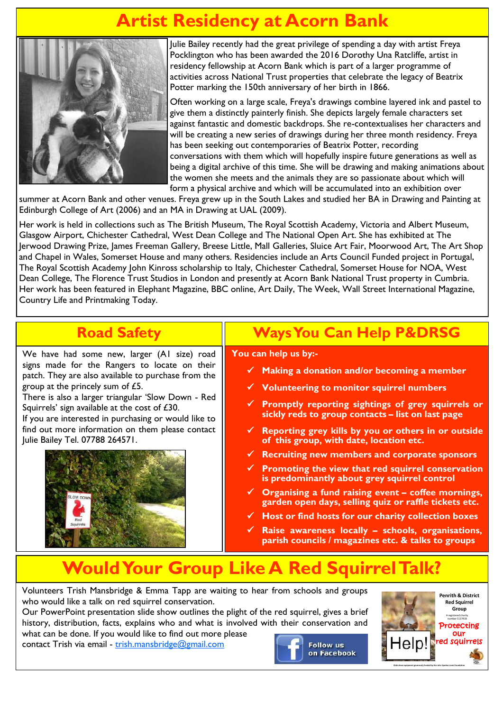### **Artist Residency at Acorn Bank**



Julie Bailey recently had the great privilege of spending a day with artist Freya Pocklington who has been awarded the 2016 Dorothy Una Ratcliffe, artist in residency fellowship at Acorn Bank which is part of a larger programme of activities across National Trust properties that celebrate the legacy of Beatrix Potter marking the 150th anniversary of her birth in 1866.

Often working on a large scale, Freya's drawings combine layered ink and pastel to give them a distinctly painterly finish. She depicts largely female characters set against fantastic and domestic backdrops. She re-contextualises her characters and will be creating a new series of drawings during her three month residency. Freya has been seeking out contemporaries of Beatrix Potter, recording conversations with them which will hopefully inspire future generations as well as being a digital archive of this time. She will be drawing and making animations about the women she meets and the animals they are so passionate about which will form a physical archive and which will be accumulated into an exhibition over

summer at Acorn Bank and other venues. Freya grew up in the South Lakes and studied her BA in Drawing and Painting at Edinburgh College of Art (2006) and an MA in Drawing at UAL (2009).

Her work is held in collections such as The British Museum, The Royal Scottish Academy, Victoria and Albert Museum, Glasgow Airport, Chichester Cathedral, West Dean College and The National Open Art. She has exhibited at The Jerwood Drawing Prize, James Freeman Gallery, Breese Little, Mall Galleries, Sluice Art Fair, Moorwood Art, The Art Shop and Chapel in Wales, Somerset House and many others. Residencies include an Arts Council Funded project in Portugal, The Royal Scottish Academy John Kinross scholarship to Italy, Chichester Cathedral, Somerset House for NOA, West Dean College, The Florence Trust Studios in London and presently at Acorn Bank National Trust property in Cumbria. Her work has been featured in Elephant Magazine, BBC online, Art Daily, The Week, Wall Street International Magazine, Country Life and Printmaking Today.

### **Road Safety**

We have had some new, larger (A1 size) road signs made for the Rangers to locate on their patch. They are also available to purchase from the group at the princely sum of £5.

There is also a larger triangular 'Slow Down - Red Squirrels' sign available at the cost of £30.

If you are interested in purchasing or would like to find out more information on them please contact Julie Bailey Tel. 07788 264571.



### **Ways You Can Help P&DRSG**

#### **You can help us by:-**

- **Making a donation and/or becoming a member**
- **Volunteering to monitor squirrel numbers**
- **Promptly reporting sightings of grey squirrels or sickly reds to group contacts – list on last page**
- **Reporting grey kills by you or others in or outside of this group, with date, location etc.**
- **Recruiting new members and corporate sponsors**
- **Promoting the view that red squirrel conservation is predominantly about grey squirrel control**
- **Organising a fund raising event – coffee mornings, garden open days, selling quiz or raffle tickets etc.**
- **Host or find hosts for our charity collection boxes**
- **Raise awareness locally – schools, organisations, parish councils / magazines etc. & talks to groups**

### **Would Your Group Like A Red Squirrel Talk?**

Volunteers Trish Mansbridge & Emma Tapp are waiting to hear from schools and groups who would like a talk on red squirrel conservation.

Our PowerPoint presentation slide show outlines the plight of the red squirrel, gives a brief history, distribution, facts, explains who and what is involved with their conservation and what can be done. If you would like to find out more please

contact Trish via email - [trish.mansbridge@gmail.com](mailto:trish.mansbridge@gmail.com)



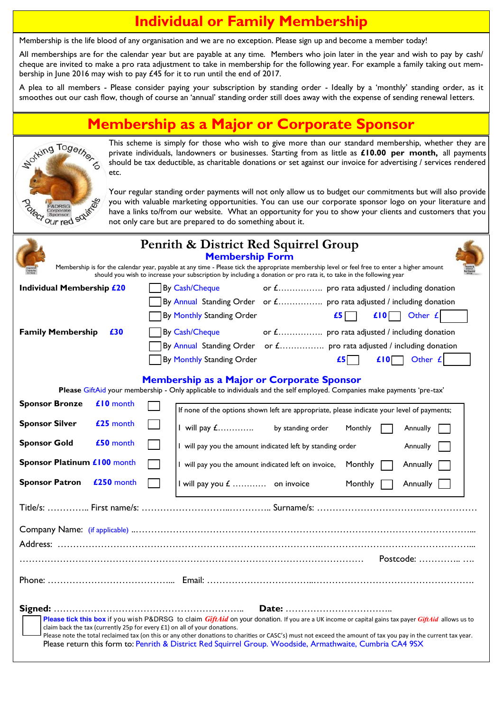### **Individual or Family Membership**

Membership is the life blood of any organisation and we are no exception. Please sign up and become a member today!

All memberships are for the calendar year but are payable at any time. Members who join later in the year and wish to pay by cash/ cheque are invited to make a pro rata adjustment to take in membership for the following year. For example a family taking out membership in June 2016 may wish to pay £45 for it to run until the end of 2017.

A plea to all members - Please consider paying your subscription by standing order - Ideally by a 'monthly' standing order, as it smoothes out our cash flow, though of course an 'annual' standing order still does away with the expense of sending renewal letters.

#### **Membership as a Major or Corporate Sponsor**



This scheme is simply for those who wish to give more than our standard membership, whether they are private individuals, landowners or businesses. Starting from as little as **£10.00 per month,** all payments should be tax deductible, as charitable donations or set against our invoice for advertising / services rendered etc.

Your regular standing order payments will not only allow us to budget our commitments but will also provide you with valuable marketing opportunities. You can use our corporate sponsor logo on your literature and have a links to/from our website. What an opportunity for you to show your clients and customers that you not only care but are prepared to do something about it.

| Penrith & District Red Squirrel Group<br><b>Membership Form</b>                                                                                                                                                                                                                                                                                                                                                                                                                                               |            |                                                                                            |  |  |  |  |  |  |
|---------------------------------------------------------------------------------------------------------------------------------------------------------------------------------------------------------------------------------------------------------------------------------------------------------------------------------------------------------------------------------------------------------------------------------------------------------------------------------------------------------------|------------|--------------------------------------------------------------------------------------------|--|--|--|--|--|--|
| Membership is for the calendar year, payable at any time - Please tick the appropriate membership level or feel free to enter a higher amount<br>should you wish to increase your subscription by including a donation or pro rata it, to take in the following year                                                                                                                                                                                                                                          |            |                                                                                            |  |  |  |  |  |  |
| Individual Membership £20                                                                                                                                                                                                                                                                                                                                                                                                                                                                                     |            | or £ pro rata adjusted / including donation<br>By Cash/Cheque                              |  |  |  |  |  |  |
|                                                                                                                                                                                                                                                                                                                                                                                                                                                                                                               |            | By Annual Standing Order or £ pro rata adjusted / including donation                       |  |  |  |  |  |  |
|                                                                                                                                                                                                                                                                                                                                                                                                                                                                                                               |            | $\mathbf{f5}$<br>By Monthly Standing Order<br>$f(0)$ Other $f$                             |  |  |  |  |  |  |
| <b>Family Membership</b><br>£30                                                                                                                                                                                                                                                                                                                                                                                                                                                                               |            | or £ pro rata adjusted / including donation<br>By Cash/Cheque                              |  |  |  |  |  |  |
|                                                                                                                                                                                                                                                                                                                                                                                                                                                                                                               |            | By Annual Standing Order or £ pro rata adjusted / including donation                       |  |  |  |  |  |  |
|                                                                                                                                                                                                                                                                                                                                                                                                                                                                                                               |            | $\mathbf{f5}$<br>$\mathbf{L}$ 10 Other $\mathbf{L}$<br>By Monthly Standing Order           |  |  |  |  |  |  |
| <b>Membership as a Major or Corporate Sponsor</b><br>Please GiftAid your membership - Only applicable to individuals and the self employed. Companies make payments 'pre-tax'                                                                                                                                                                                                                                                                                                                                 |            |                                                                                            |  |  |  |  |  |  |
| <b>Sponsor Bronze</b>                                                                                                                                                                                                                                                                                                                                                                                                                                                                                         | £10 month  | If none of the options shown left are appropriate, please indicate your level of payments; |  |  |  |  |  |  |
| <b>Sponsor Silver</b>                                                                                                                                                                                                                                                                                                                                                                                                                                                                                         | £25 month  | I will pay <i>£</i> by standing order<br>Monthly<br>Annually                               |  |  |  |  |  |  |
| <b>Sponsor Gold</b>                                                                                                                                                                                                                                                                                                                                                                                                                                                                                           | £50 month  | I will pay you the amount indicated left by standing order<br>Annually                     |  |  |  |  |  |  |
| Sponsor Platinum £100 month                                                                                                                                                                                                                                                                                                                                                                                                                                                                                   |            | I will pay you the amount indicated left on invoice, Monthly<br>Annually                   |  |  |  |  |  |  |
| <b>Sponsor Patron</b>                                                                                                                                                                                                                                                                                                                                                                                                                                                                                         | £250 month | I will pay you $E$ on invoice<br>Monthly<br>Annually                                       |  |  |  |  |  |  |
|                                                                                                                                                                                                                                                                                                                                                                                                                                                                                                               |            |                                                                                            |  |  |  |  |  |  |
|                                                                                                                                                                                                                                                                                                                                                                                                                                                                                                               |            |                                                                                            |  |  |  |  |  |  |
|                                                                                                                                                                                                                                                                                                                                                                                                                                                                                                               |            |                                                                                            |  |  |  |  |  |  |
| Postcode: $\ldots$ $\ldots$ $\ldots$                                                                                                                                                                                                                                                                                                                                                                                                                                                                          |            |                                                                                            |  |  |  |  |  |  |
|                                                                                                                                                                                                                                                                                                                                                                                                                                                                                                               |            |                                                                                            |  |  |  |  |  |  |
| Please tick this box if you wish P&DRSG to claim GiftAid on your donation. If you are a UK income or capital gains tax payer GiftAid allows us to<br>claim back the tax (currently 25p for every £1) on all of your donations.<br>Please note the total reclaimed tax (on this or any other donations to charities or CASC's) must not exceed the amount of tax you pay in the current tax year.<br>Please return this form to: Penrith & District Red Squirrel Group. Woodside, Armathwaite, Cumbria CA4 9SX |            |                                                                                            |  |  |  |  |  |  |